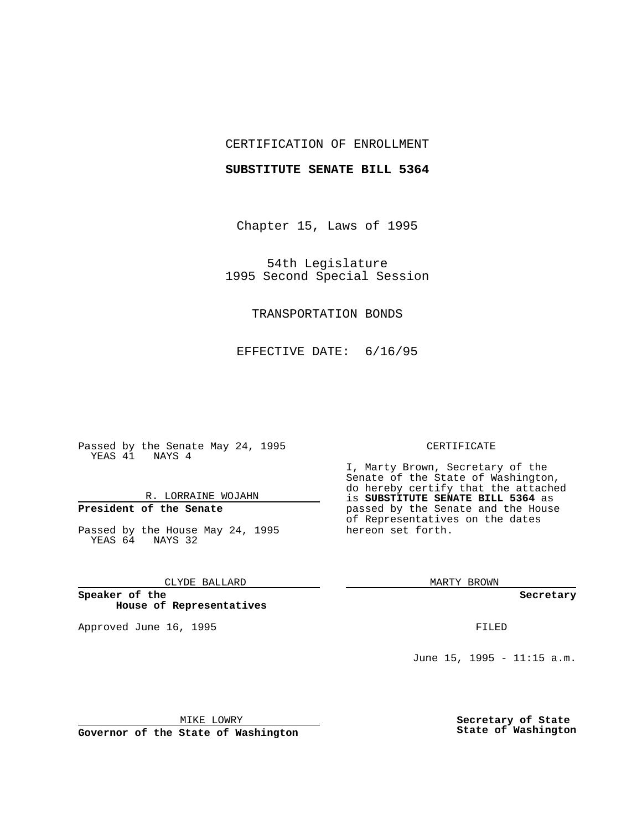## CERTIFICATION OF ENROLLMENT

## **SUBSTITUTE SENATE BILL 5364**

Chapter 15, Laws of 1995

54th Legislature 1995 Second Special Session

## TRANSPORTATION BONDS

EFFECTIVE DATE: 6/16/95

Passed by the Senate May 24, 1995 YEAS 41 NAYS 4

## R. LORRAINE WOJAHN

# **President of the Senate**

Passed by the House May 24, 1995 YEAS 64 NAYS 32

## CLYDE BALLARD

**Speaker of the House of Representatives**

Approved June 16, 1995 FILED

#### CERTIFICATE

I, Marty Brown, Secretary of the Senate of the State of Washington, do hereby certify that the attached is **SUBSTITUTE SENATE BILL 5364** as passed by the Senate and the House of Representatives on the dates hereon set forth.

MARTY BROWN

**Secretary**

June 15, 1995 - 11:15 a.m.

MIKE LOWRY

**Governor of the State of Washington**

**Secretary of State State of Washington**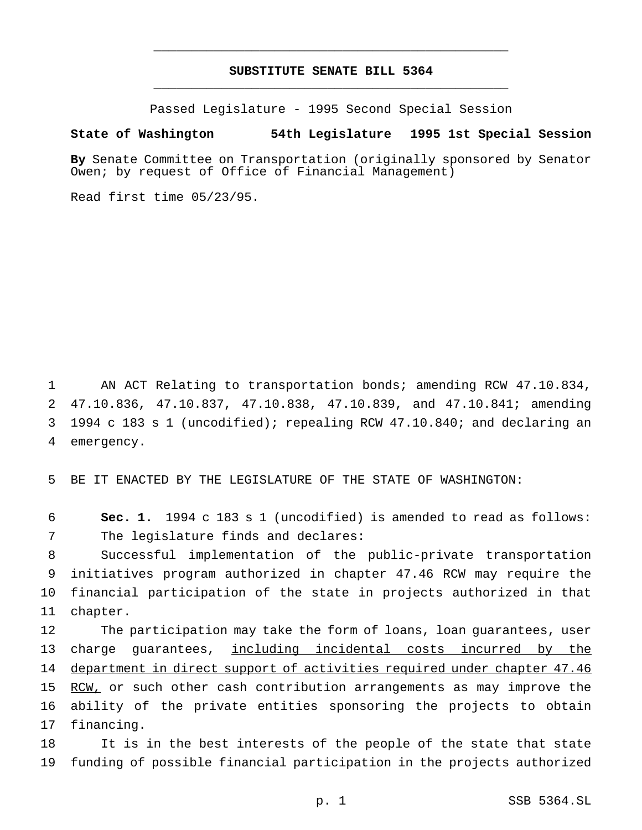## **SUBSTITUTE SENATE BILL 5364** \_\_\_\_\_\_\_\_\_\_\_\_\_\_\_\_\_\_\_\_\_\_\_\_\_\_\_\_\_\_\_\_\_\_\_\_\_\_\_\_\_\_\_\_\_\_\_

\_\_\_\_\_\_\_\_\_\_\_\_\_\_\_\_\_\_\_\_\_\_\_\_\_\_\_\_\_\_\_\_\_\_\_\_\_\_\_\_\_\_\_\_\_\_\_

Passed Legislature - 1995 Second Special Session

### **State of Washington 54th Legislature 1995 1st Special Session**

**By** Senate Committee on Transportation (originally sponsored by Senator Owen; by request of Office of Financial Management)

Read first time 05/23/95.

 AN ACT Relating to transportation bonds; amending RCW 47.10.834, 47.10.836, 47.10.837, 47.10.838, 47.10.839, and 47.10.841; amending 1994 c 183 s 1 (uncodified); repealing RCW 47.10.840; and declaring an emergency.

5 BE IT ENACTED BY THE LEGISLATURE OF THE STATE OF WASHINGTON:

6 **Sec. 1.** 1994 c 183 s 1 (uncodified) is amended to read as follows: 7 The legislature finds and declares:

 Successful implementation of the public-private transportation initiatives program authorized in chapter 47.46 RCW may require the financial participation of the state in projects authorized in that 11 chapter.

 The participation may take the form of loans, loan guarantees, user charge guarantees, including incidental costs incurred by the 14 department in direct support of activities required under chapter 47.46 15 RCW, or such other cash contribution arrangements as may improve the ability of the private entities sponsoring the projects to obtain financing.

18 It is in the best interests of the people of the state that state 19 funding of possible financial participation in the projects authorized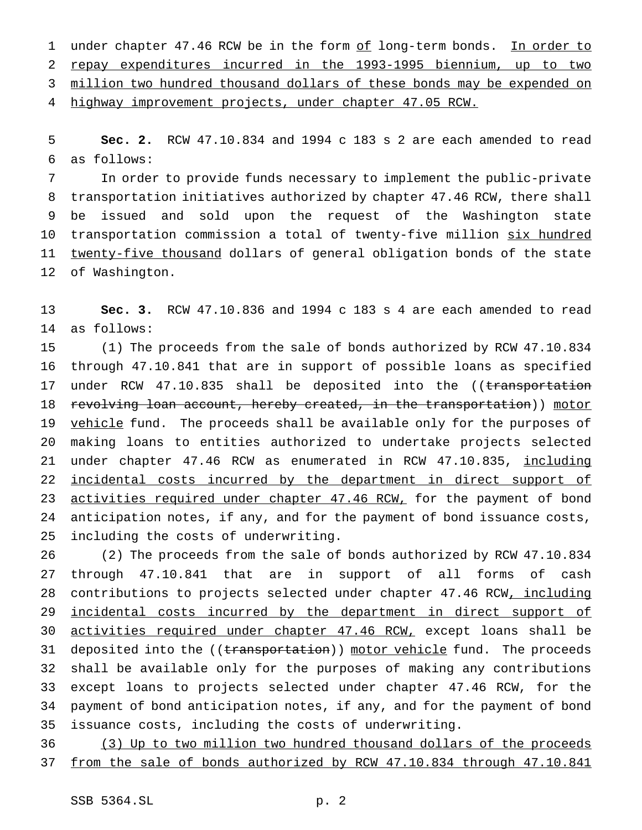1 under chapter 47.46 RCW be in the form of long-term bonds. In order to repay expenditures incurred in the 1993-1995 biennium, up to two 3 million two hundred thousand dollars of these bonds may be expended on highway improvement projects, under chapter 47.05 RCW.

 **Sec. 2.** RCW 47.10.834 and 1994 c 183 s 2 are each amended to read as follows:

 In order to provide funds necessary to implement the public-private transportation initiatives authorized by chapter 47.46 RCW, there shall be issued and sold upon the request of the Washington state 10 transportation commission a total of twenty-five million six hundred 11 twenty-five thousand dollars of general obligation bonds of the state of Washington.

 **Sec. 3.** RCW 47.10.836 and 1994 c 183 s 4 are each amended to read as follows:

 (1) The proceeds from the sale of bonds authorized by RCW 47.10.834 through 47.10.841 that are in support of possible loans as specified 17 under RCW 47.10.835 shall be deposited into the ((transportation 18 revolving loan account, hereby created, in the transportation)) motor 19 vehicle fund. The proceeds shall be available only for the purposes of making loans to entities authorized to undertake projects selected 21 under chapter 47.46 RCW as enumerated in RCW 47.10.835, including 22 incidental costs incurred by the department in direct support of 23 activities required under chapter 47.46 RCW, for the payment of bond anticipation notes, if any, and for the payment of bond issuance costs, including the costs of underwriting.

 (2) The proceeds from the sale of bonds authorized by RCW 47.10.834 through 47.10.841 that are in support of all forms of cash 28 contributions to projects selected under chapter 47.46 RCW, including 29 incidental costs incurred by the department in direct support of 30 activities required under chapter 47.46 RCW, except loans shall be 31 deposited into the ((transportation)) motor vehicle fund. The proceeds shall be available only for the purposes of making any contributions except loans to projects selected under chapter 47.46 RCW, for the payment of bond anticipation notes, if any, and for the payment of bond issuance costs, including the costs of underwriting.

 (3) Up to two million two hundred thousand dollars of the proceeds from the sale of bonds authorized by RCW 47.10.834 through 47.10.841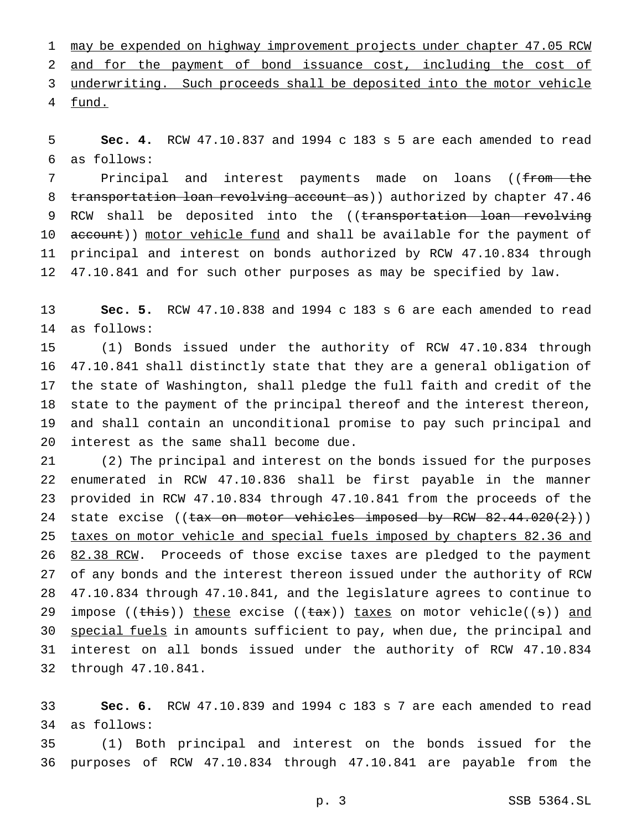may be expended on highway improvement projects under chapter 47.05 RCW and for the payment of bond issuance cost, including the cost of underwriting. Such proceeds shall be deposited into the motor vehicle fund.

 **Sec. 4.** RCW 47.10.837 and 1994 c 183 s 5 are each amended to read as follows:

7 Principal and interest payments made on loans ((from the 8 transportation loan revolving account as)) authorized by chapter 47.46 9 RCW shall be deposited into the ((transportation loan revolving 10 account)) motor vehicle fund and shall be available for the payment of principal and interest on bonds authorized by RCW 47.10.834 through 47.10.841 and for such other purposes as may be specified by law.

 **Sec. 5.** RCW 47.10.838 and 1994 c 183 s 6 are each amended to read as follows:

 (1) Bonds issued under the authority of RCW 47.10.834 through 47.10.841 shall distinctly state that they are a general obligation of the state of Washington, shall pledge the full faith and credit of the state to the payment of the principal thereof and the interest thereon, and shall contain an unconditional promise to pay such principal and interest as the same shall become due.

 (2) The principal and interest on the bonds issued for the purposes enumerated in RCW 47.10.836 shall be first payable in the manner provided in RCW 47.10.834 through 47.10.841 from the proceeds of the 24 state excise ((tax on motor vehicles imposed by RCW 82.44.020(2))) taxes on motor vehicle and special fuels imposed by chapters 82.36 and 26 82.38 RCW. Proceeds of those excise taxes are pledged to the payment of any bonds and the interest thereon issued under the authority of RCW 47.10.834 through 47.10.841, and the legislature agrees to continue to 29 impose (( $\theta$ )) these excise (( $\theta$ \*)) taxes on motor vehicle(( $\theta$ )) and 30 special fuels in amounts sufficient to pay, when due, the principal and interest on all bonds issued under the authority of RCW 47.10.834 through 47.10.841.

 **Sec. 6.** RCW 47.10.839 and 1994 c 183 s 7 are each amended to read as follows:

 (1) Both principal and interest on the bonds issued for the purposes of RCW 47.10.834 through 47.10.841 are payable from the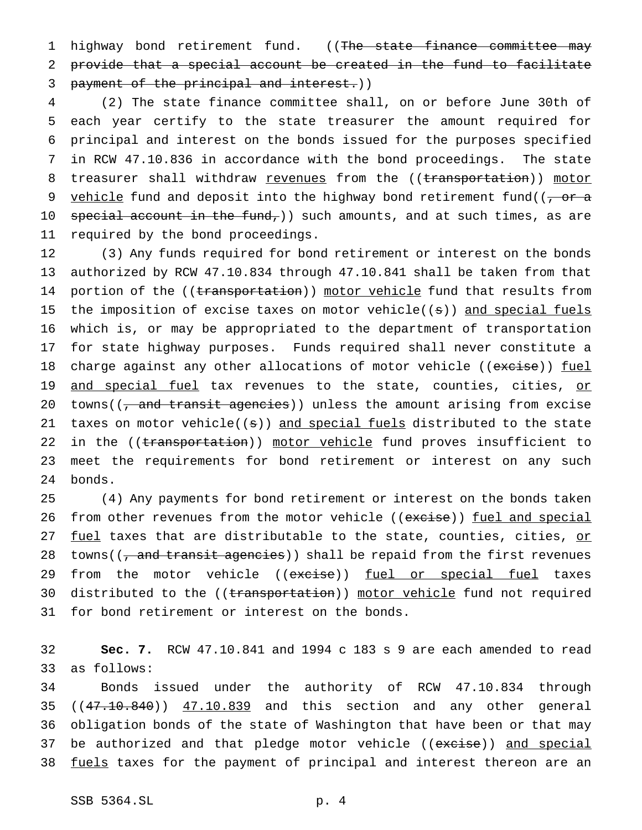1 highway bond retirement fund. ((The state finance committee may 2 provide that a special account be created in the fund to facilitate 3 payment of the principal and interest.))

 (2) The state finance committee shall, on or before June 30th of each year certify to the state treasurer the amount required for principal and interest on the bonds issued for the purposes specified in RCW 47.10.836 in accordance with the bond proceedings. The state 8 treasurer shall withdraw revenues from the ((transportation)) motor 9 vehicle fund and deposit into the highway bond retirement fund( $(-\sigma r - a$ 10 special account in the fund,)) such amounts, and at such times, as are required by the bond proceedings.

12 (3) Any funds required for bond retirement or interest on the bonds 13 authorized by RCW 47.10.834 through 47.10.841 shall be taken from that 14 portion of the ((transportation)) motor vehicle fund that results from 15 the imposition of excise taxes on motor vehicle((s)) and special fuels 16 which is, or may be appropriated to the department of transportation 17 for state highway purposes. Funds required shall never constitute a 18 charge against any other allocations of motor vehicle ((excise)) fuel 19 and special fuel tax revenues to the state, counties, cities, or 20 towns( $\left(\frac{1}{2}, \frac{1}{2}, \frac{1}{2}\right)$  and transitagencies)) unless the amount arising from excise 21 taxes on motor vehicle( $(s)$ ) and special fuels distributed to the state 22 in the ((transportation)) motor vehicle fund proves insufficient to 23 meet the requirements for bond retirement or interest on any such 24 bonds.

25 (4) Any payments for bond retirement or interest on the bonds taken 26 from other revenues from the motor vehicle ((excise)) fuel and special 27 fuel taxes that are distributable to the state, counties, cities, or 28 towns( $\left(\frac{1}{2}, \frac{1}{2}, \frac{1}{2}\right)$  and transition  $\frac{1}{2}$  and  $\frac{1}{2}$  or  $\frac{1}{2}$  and  $\frac{1}{2}$  from the first revenues 29 from the motor vehicle ((excise)) fuel or special fuel taxes 30 distributed to the ((transportation)) motor vehicle fund not required 31 for bond retirement or interest on the bonds.

32 **Sec. 7.** RCW 47.10.841 and 1994 c 183 s 9 are each amended to read 33 as follows:

34 Bonds issued under the authority of RCW 47.10.834 through 35 ((47.10.840)) 47.10.839 and this section and any other general 36 obligation bonds of the state of Washington that have been or that may 37 be authorized and that pledge motor vehicle ((excise)) and special 38 fuels taxes for the payment of principal and interest thereon are an